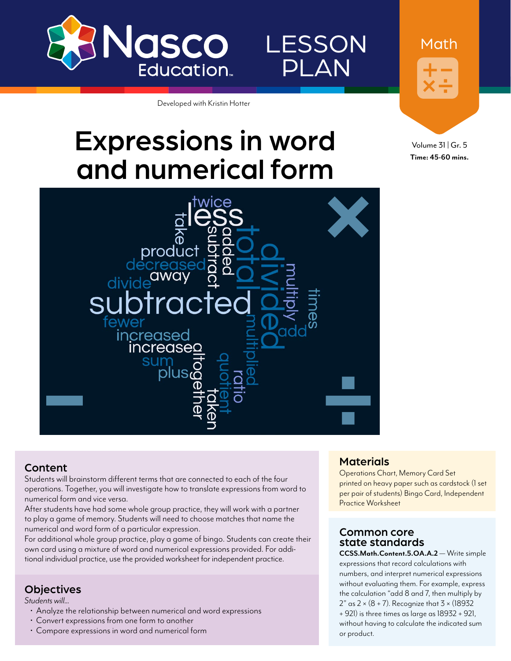

LESSON PLAN

Developed with Kristin Hotter

# Expressions in word and numerical form

Volume 31 | Gr. 5 **Time: 45-60 mins.**

Math



### Content

Students will brainstorm different terms that are connected to each of the four operations. Together, you will investigate how to translate expressions from word to numerical form and vice versa.

After students have had some whole group practice, they will work with a partner to play a game of memory. Students will need to choose matches that name the numerical and word form of a particular expression.

For additional whole group practice, play a game of bingo. Students can create their own card using a mixture of word and numerical expressions provided. For additional individual practice, use the provided worksheet for independent practice.

### **Objectives**

*Students will...*

- Analyze the relationship between numerical and word expressions<br>• Convert expressions from one form to another
- 
- Compare expressions in word and numerical form

### **Materials**

Operations Chart, Memory Card Set printed on heavy paper such as cardstock (1 set per pair of students) Bingo Card, Independent Practice Worksheet

### Common core state standards

**CCSS.Math.Content.5.OA.A.2** — Write simple expressions that record calculations with numbers, and interpret numerical expressions without evaluating them. For example, express the calculation "add 8 and 7, then multiply by  $2"$  as  $2 \times (8 + 7)$ . Recognize that  $3 \times (18932)$ + 921) is three times as large as 18932 + 921, without having to calculate the indicated sum or product.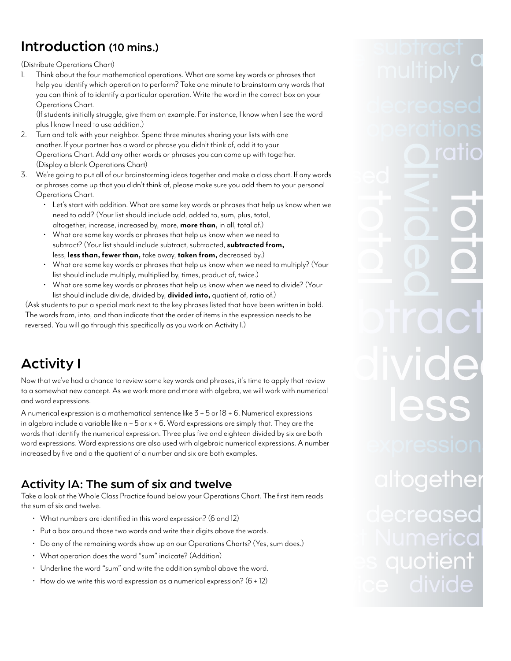# Introduction (10 mins.)

(Distribute Operations Chart)

1. Think about the four mathematical operations. What are some key words or phrases that help you identify which operation to perform? Take one minute to brainstorm any words that you can think of to identify a particular operation. Write the word in the correct box on your Operations Chart.

(If students initially struggle, give them an example. For instance, I know when I see the word plus I know I need to use addition.)

- 2. Turn and talk with your neighbor. Spend three minutes sharing your lists with one another. If your partner has a word or phrase you didn't think of, add it to your Operations Chart. Add any other words or phrases you can come up with together. (Display a blank Operations Chart)
- 3. We're going to put all of our brainstorming ideas together and make a class chart. If any words or phrases come up that you didn't think of, please make sure you add them to your personal Operations Chart.
	- Let's start with addition. What are some key words or phrases that help us know when we need to add? (Your list should include add, added to, sum, plus, total, altogether, increase, increased by, more, **more than**, in all, total of.)
	- What are some key words or phrases that help us know when we need to subtract? (Your list should include subtract, subtracted, **subtracted from,** less, **less than, fewer than,** take away, **taken from,** decreased by.)
	- What are some key words or phrases that help us know when we need to multiply? (Your list should include multiply, multiplied by, times, product of, twice.)
	- What are some key words or phrases that help us know when we need to divide? (Your list should include divide, divided by, **divided into,** quotient of, ratio of.)

(Ask students to put a special mark next to the key phrases listed that have been written in bold. The words from, into, and than indicate that the order of items in the expression needs to be reversed. You will go through this specifically as you work on Activity I.)

# Activity I

Now that we've had a chance to review some key words and phrases, it's time to apply that review to a somewhat new concept. As we work more and more with algebra, we will work with numerical and word expressions.

A numerical expression is a mathematical sentence like 3 + 5 or 18 ÷ 6. Numerical expressions in algebra include a variable like  $n + 5$  or  $x \div 6$ . Word expressions are simply that. They are the words that identify the numerical expression. Three plus five and eighteen divided by six are both word expressions. Word expressions are also used with algebraic numerical expressions. A number increased by five and a the quotient of a number and six are both examples.

# Activity IA: The sum of six and twelve

Take a look at the Whole Class Practice found below your Operations Chart. The first item reads the sum of six and twelve.

- What numbers are identified in this word expression? (6 and 12)
- Put a box around those two words and write their digits above the words.
- Do any of the remaining words show up on our Operations Charts? (Yes, sum does.)
- What operation does the word "sum" indicate? (Addition)
- Underline the word "sum" and write the addition symbol above the word.
- $\cdot$  How do we write this word expression as a numerical expression?  $(6 + 12)$

# uotle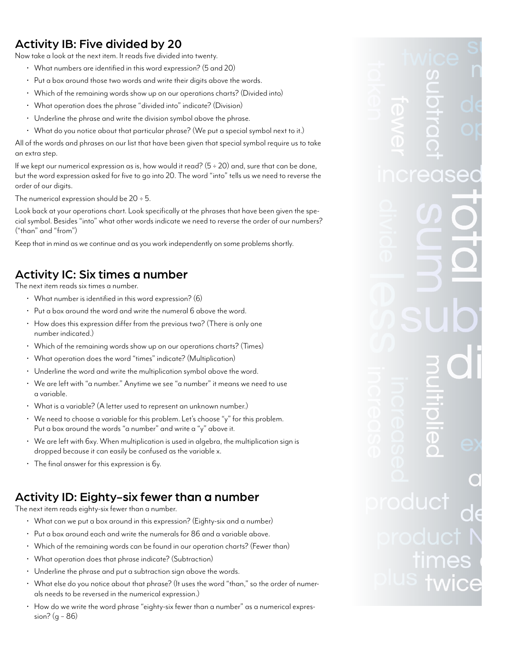# Activity IB: Five divided by 20

Now take a look at the next item. It reads five divided into twenty.

- What numbers are identified in this word expression? (5 and 20)
- Put a box around those two words and write their digits above the words.
- Which of the remaining words show up on our operations charts? (Divided into)
- What operation does the phrase "divided into" indicate? (Division)
- Underline the phrase and write the division symbol above the phrase.
- What do you notice about that particular phrase? (We put a special symbol next to it.)

All of the words and phrases on our list that have been given that special symbol require us to take an extra step.

If we kept our numerical expression as is, how would it read?  $(5 \div 20)$  and, sure that can be done, but the word expression asked for five to go into 20. The word "into" tells us we need to reverse the order of our digits.

The numerical expression should be  $20 \div 5$ .

Look back at your operations chart. Look specifically at the phrases that have been given the special symbol. Besides "into" what other words indicate we need to reverse the order of our numbers? ("than" and "from")

Keep that in mind as we continue and as you work independently on some problems shortly.

# Activity IC: Six times a number

The next item reads six times a number.

- What number is identified in this word expression? (6)
- Put a box around the word and write the numeral 6 above the word.
- How does this expression differ from the previous two? (There is only one number indicated.)
- Which of the remaining words show up on our operations charts? (Times)
- What operation does the word "times" indicate? (Multiplication)
- Underline the word and write the multiplication symbol above the word.
- We are left with "a number." Anytime we see "a number" it means we need to use a variable.
- What is a variable? (A letter used to represent an unknown number.)
- We need to choose a variable for this problem. Let's choose "y" for this problem. Put a box around the words "a number" and write a "y" above it.
- We are left with 6xy. When multiplication is used in algebra, the multiplication sign is dropped because it can easily be confused as the variable x.
- The final answer for this expression is 6y.

# Activity ID: Eighty-six fewer than a number

The next item reads eighty-six fewer than a number.

- What can we put a box around in this expression? (Eighty-six and a number)
- Put a box around each and write the numerals for 86 and a variable above.
- Which of the remaining words can be found in our operation charts? (Fewer than)
- What operation does that phrase indicate? (Subtraction)
- Underline the phrase and put a subtraction sign above the words.
- $\,\cdot\,$  What else do you notice about that phrase? (It uses the word "than," so the order of numerals needs to be reversed in the numerical expression.)
- How do we write the word phrase "eighty-six fewer than a number" as a numerical expression? (g − 86)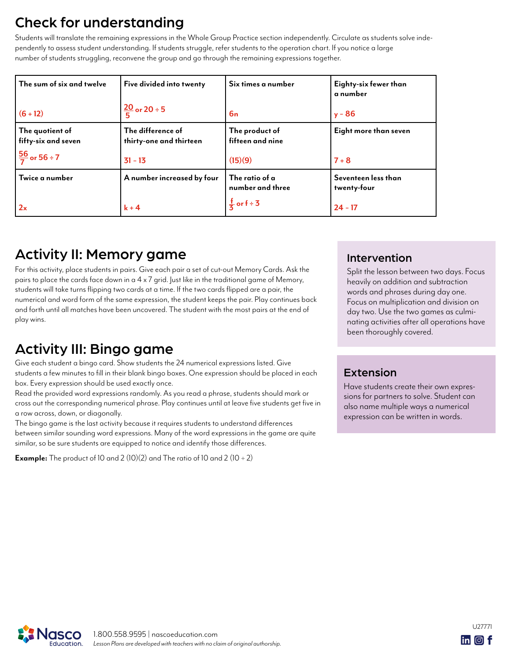# Check for understanding

Students will translate the remaining expressions in the Whole Group Practice section independently. Circulate as students solve independently to assess student understanding. If students struggle, refer students to the operation chart. If you notice a large number of students struggling, reconvene the group and go through the remaining expressions together.

| The sum of six and twelve              | Five divided into twenty                     | Six times a number                 | Eighty-six fewer than<br>a number  |
|----------------------------------------|----------------------------------------------|------------------------------------|------------------------------------|
| $(6 + 12)$                             | $\frac{20}{5}$ or 20 ÷ 5                     | 6n                                 | $y - 86$                           |
| The quotient of<br>fifty-six and seven | The difference of<br>thirty-one and thirteen | The product of<br>fifteen and nine | Eight more than seven              |
| $\frac{56}{7}$ or 56 ÷ 7               | $31 - 13$                                    | (15)(9)                            | $7 + 8$                            |
| Twice a number                         | A number increased by four                   | The ratio of a<br>number and three | Seventeen less than<br>twenty-four |
| 2x                                     | $k + 4$                                      | $\frac{1}{5}$ or f ÷ 3             | $24 - 17$                          |

# Activity II: Memory game

For this activity, place students in pairs. Give each pair a set of cut-out Memory Cards. Ask the pairs to place the cards face down in a 4 x 7 grid. Just like in the traditional game of Memory, students will take turns flipping two cards at a time. If the two cards flipped are a pair, the numerical and word form of the same expression, the student keeps the pair. Play continues back and forth until all matches have been uncovered. The student with the most pairs at the end of play wins.

# Activity III: Bingo game

Give each student a bingo card. Show students the 24 numerical expressions listed. Give students a few minutes to fill in their blank bingo boxes. One expression should be placed in each box. Every expression should be used exactly once.

Read the provided word expressions randomly. As you read a phrase, students should mark or cross out the corresponding numerical phrase. Play continues until at leave five students get five in a row across, down, or diagonally.

The bingo game is the last activity because it requires students to understand differences between similar sounding word expressions. Many of the word expressions in the game are quite similar, so be sure students are equipped to notice and identify those differences.

**Example:** The product of 10 and 2  $(10)(2)$  and The ratio of 10 and 2  $(10 \div 2)$ 

## Intervention

Split the lesson between two days. Focus heavily on addition and subtraction words and phrases during day one. Focus on multiplication and division on day two. Use the two games as culminating activities after all operations have been thoroughly covered.

# Extension

Have students create their own expressions for partners to solve. Student can also name multiple ways a numerical expression can be written in words.



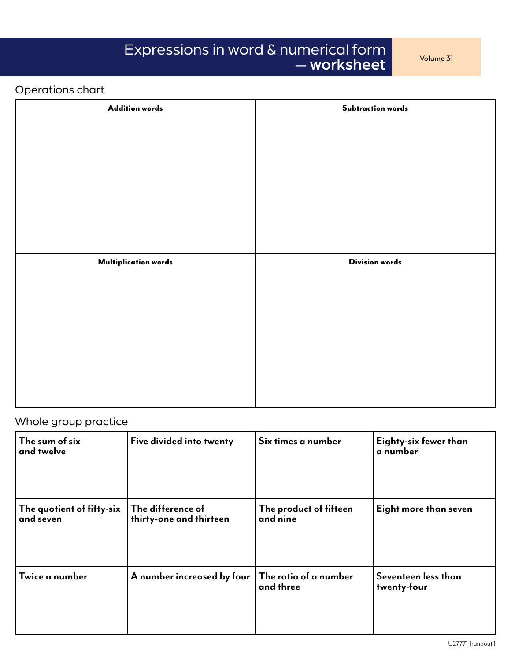# Expressions in word & numerical form **Expressions** in word & numerical form — worksheet

# Operations chart

| <b>Addition words</b>       | <b>Subtraction words</b> |
|-----------------------------|--------------------------|
|                             |                          |
|                             |                          |
|                             |                          |
|                             |                          |
|                             |                          |
|                             |                          |
|                             |                          |
| <b>Multiplication words</b> | <b>Division words</b>    |
|                             |                          |
|                             |                          |
|                             |                          |
|                             |                          |
|                             |                          |
|                             |                          |
|                             |                          |
|                             |                          |

# Whole group practice

| The sum of six<br>and twelve           | Five divided into twenty                     | Six times a number                        | Eighty-six fewer than<br>a number  |
|----------------------------------------|----------------------------------------------|-------------------------------------------|------------------------------------|
| The quotient of fifty-six<br>and seven | The difference of<br>thirty-one and thirteen | The product of fifteen<br>and nine        | Eight more than seven              |
| Twice a number                         | A number increased by four                   | $\mid$ The ratio of a number<br>and three | Seventeen less than<br>twenty-four |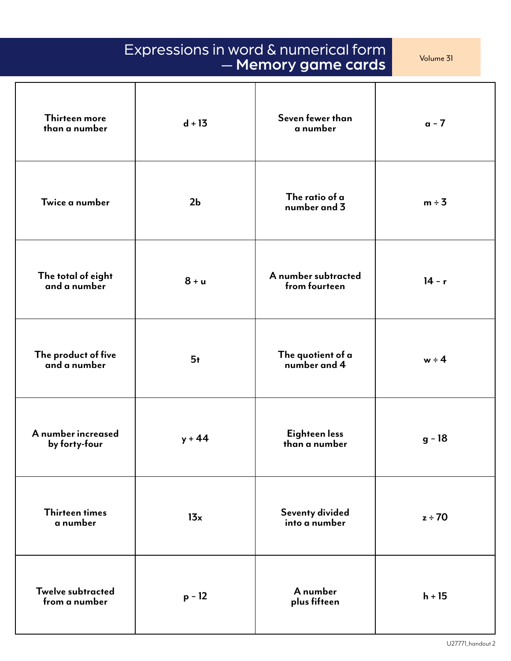| Expressions in word & numerical form<br>Volume 31<br>- Memory game cards |                |                                      |             |  |
|--------------------------------------------------------------------------|----------------|--------------------------------------|-------------|--|
| <b>Thirteen more</b><br>than a number                                    | $d + 13$       | Seven fewer than<br>a number         | $a - 7$     |  |
| Twice a number                                                           | 2 <sub>b</sub> | The ratio of a<br>number and 3       | $m \div 3$  |  |
| The total of eight<br>and a number                                       | $8 + u$        | A number subtracted<br>from fourteen | $14 - r$    |  |
| The product of five<br>and a number                                      | 5 <sub>t</sub> | The quotient of a<br>number and 4    | $w \div 4$  |  |
| A number increased<br>by forty-four                                      | $y + 44$       | Eighteen less<br>than a number       | $g - 18$    |  |
| <b>Thirteen times</b><br>a number                                        | 13x            | Seventy divided<br>into a number     | $z \div 70$ |  |
| <b>Twelve subtracted</b><br>from a number                                | $p - 12$       | A number<br>plus fifteen             | $h + 15$    |  |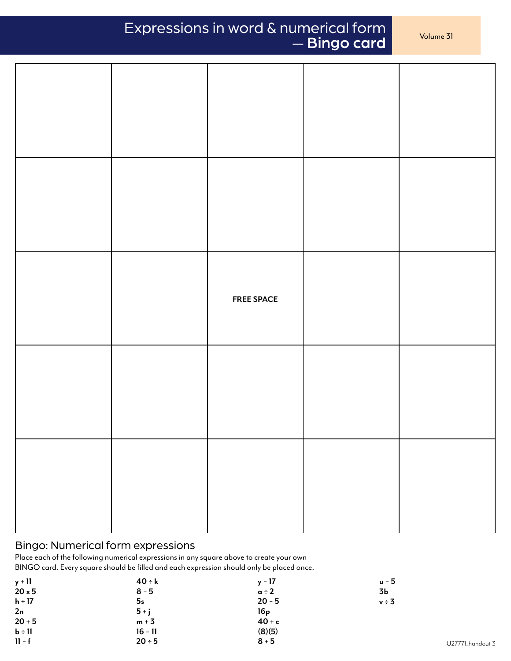# Expressions in word & numerical form — Bingo card

|  | <b>FREE SPACE</b> |  |
|--|-------------------|--|
|  |                   |  |
|  |                   |  |

### Bingo: Numerical form expressions

Place each of the following numerical expressions in any square above to create your own BINGO card. Every square should be filled and each expression should only be placed once.

| 3Ь      |
|---------|
|         |
| $v - 3$ |
|         |
|         |
|         |
|         |
|         |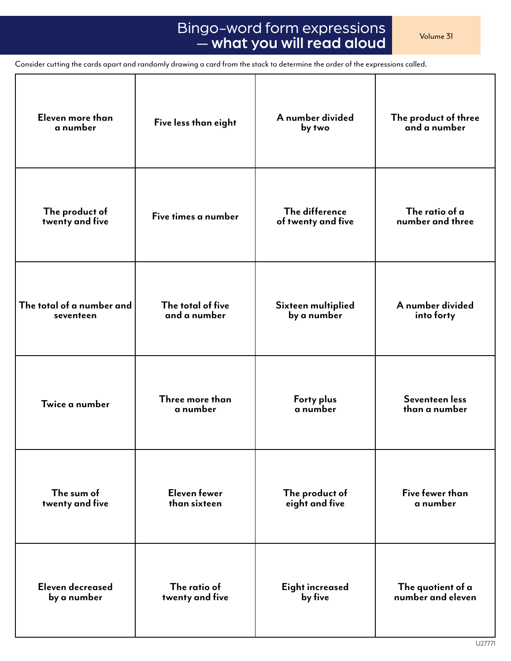# Bingo-word form expressions <br>
Wolume 31 Bings and also relationship — what you will read aloud

Consider cutting the cards apart and randomly drawing a card from the stack to determine the order of the expressions called.

| Eleven more than          | Five less than eight | A number divided   | The product of three |
|---------------------------|----------------------|--------------------|----------------------|
| a number                  |                      | by two             | and a number         |
| The product of            | Five times a number  | The difference     | The ratio of a       |
| twenty and five           |                      | of twenty and five | number and three     |
| The total of a number and | The total of five    | Sixteen multiplied | A number divided     |
| seventeen                 | and a number         | by a number        | into forty           |
| Twice a number            | Three more than      | Forty plus         | Seventeen less       |
|                           | a number             | a number           | than a number        |
| The sum of                | <b>Eleven fewer</b>  | The product of     | Five fewer than      |
| twenty and five           | than sixteen         | eight and five     | a number             |
| Eleven decreased          | The ratio of         | Eight increased    | The quotient of a    |
| by a number               | twenty and five      | by five            | number and eleven    |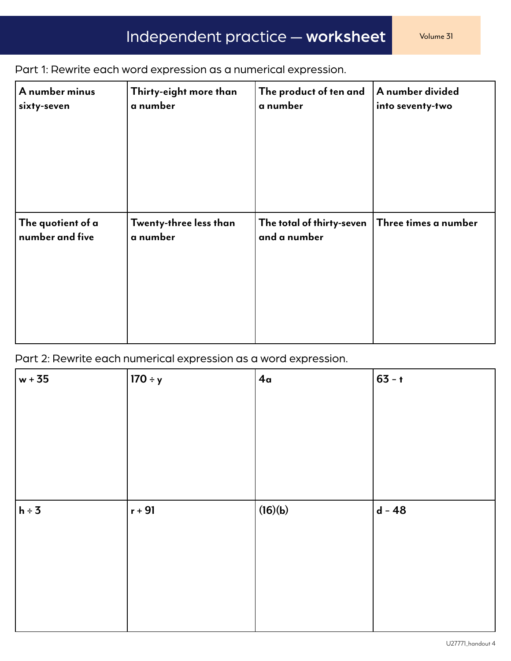Part 1: Rewrite each word expression as a numerical expression.

| A number minus    | Thirty-eight more than | The product of ten and    | A number divided     |
|-------------------|------------------------|---------------------------|----------------------|
| sixty-seven       | a number               | a number                  | into seventy-two     |
| The quotient of a | Twenty-three less than | The total of thirty-seven | Three times a number |
| number and five   | a number               | and a number              |                      |

Part 2: Rewrite each numerical expression as a word expression.

| $w + 35$   | $170 \div y$ | 4 <sub>a</sub> | $ 63 - t $ |
|------------|--------------|----------------|------------|
|            |              |                |            |
|            |              |                |            |
|            |              |                |            |
|            |              |                |            |
|            |              |                |            |
|            |              |                |            |
|            |              |                |            |
|            |              |                |            |
| $h \div 3$ | $r + 91$     | (16)(b)        | $d - 48$   |
|            |              |                |            |
|            |              |                |            |
|            |              |                |            |
|            |              |                |            |
|            |              |                |            |